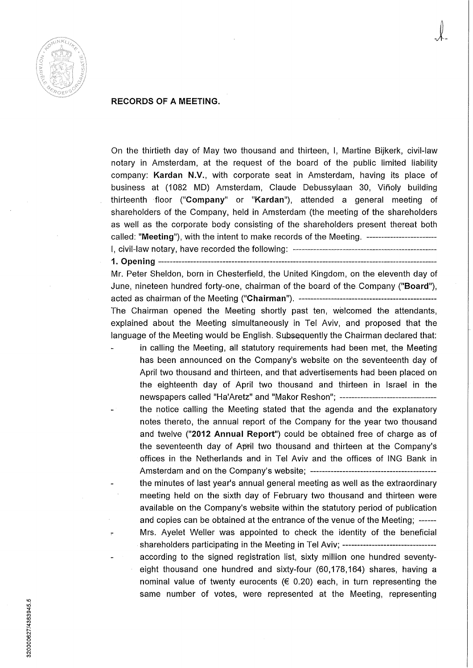

## **RECORDS OF A MEETING.**

On the thirtieth day of May two thousand and thirteen, I, Martine Bijkerk, civil-law notary in Amsterdam, at the request of the board of the public limited liability company: **Kardan N.V.,** with corporate seat in Amsterdam, having its place of business at (1082 MD) Amsterdam, Claude Debussylaan 30, Viñoly building thirteenth floor **("Company"** or **"Kardan"),** attended a general meeting of shareholders of the Company, held in Amsterdam (the meeting of the shareholders as well as the corporate body consisting of the shareholders present thereat both called: **"Meeting"),** with the intent to make records of the Meeting. I, civil-law notary, have recorded the following:

**1. Opening** 

Mr. Peter Sheldon, born in Chesterfield, the United Kingdom, on the eleventh day of June, nineteen hundred forty-one, chairman ofthe board of the Company **("Board"),**  acted as chairman of the Meeting **("Cliairman").**  The Chairman opened the Meeting shortly past ten, welcomed the attendants,

explained about the Meeting simultaneously in Tel Aviv, and proposed that the language of the Meeting would be English. Subsequently the Chairman declared that:

- in calling the Meeting, all statutory requirements had been met, the Meeting has been announced on the Company's website on the seventeenth day of April two thousand and thirteen, and that advertisements had been placed on the eighteenth day of April two thousand and thirteen in Israel in the newspapers called "Ha'Aretz" and "Makor Reshon";
	- the notice calling the Meeting stated that the agenda and the explanatory notes thereto, the annual report of the Company for the year two thousand and twelve **("2012 Annual Report")** could be obtained free of charge as of the seventeenth day of April two thousand and thirteen at the Company's offices in the Netheriands and in Tel Aviv and the offices of ING Bank in Amsterdam and on the Company's website;
		- the minutes of last year's annual general meeting as well as the extraordinary meeting held on the sixth day of February two thousand and thirteen were available on the Company's website within the statutory period of publication and copies can be obtained at the entrance of the venue of the Meeting; Mrs. Ayelet Weller was appointed to check the identity of the beneficial shareholders participating in the Meeting in Tel Aviv; -------------------------------according to the signed registration list, sixty million one hundred seventyeight thousand one hundred and sixty-four (60,178,164) shares, having a nominal value of twenty eurocents ( $\in$  0.20) each, in turn representing the same number of votes, were represented at the Meeting, representing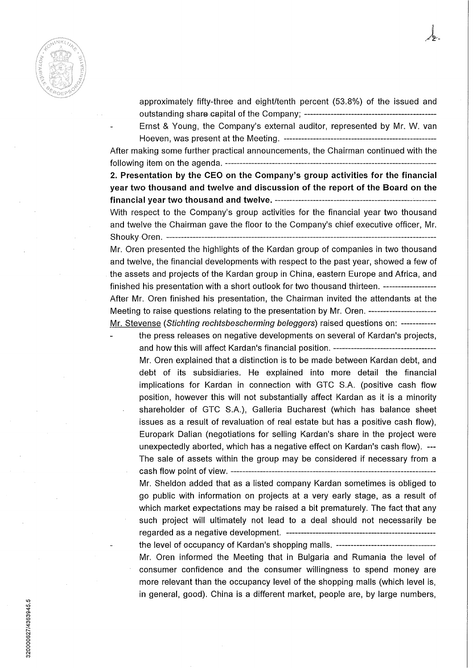

- approximately fifty-three and eight/tenth percent (53.8%) of the issued and outstanding share capital ofthe Company;
- Ernst & Young, the Company's external auditor, represented by Mr. W. van Hoeven, was present at the Meeting.

After making some further practical announcements, the Chairman continued with the following item on the agenda.

**2. Presentation by the CEO on the Company's group activities for the financial year two thousand and twelve and discussion of the report of the Board on the financial year two thousand and twelve.** 

With respect to the Company's group activities for the financial year two thousand and twelve the Chairman gave the floor to the Company's chief executive officer, Mr. Shouky Oren.

Mr. Oren presented the highlights of the Kardan group of companies in two thousand and twelve, the financial developments with respect to the past year, showed a few of the assets and projects of the Kardan group in China, eastern Europe and Africa, and finished his presentation with a short outlook for two thousand thirteen. After Mr. Oren finished his presentation, the Chairman invited the attendants at the Meeting to raise questions relating to the presentation by Mr. Oren. Mr. Stevense (Stichting rechtsbescherming beleggers) raised questions on: ------------

the press releases on negative developments on several of Kardan's projects, and how this will affect Kardan's financial position. Mr. Oren explained that a distinction is to be made between Kardan debt, and debt of its subsidiaries. He explained into more detail the financial implications for Kardan in connection with GTC S.A. (positive cash flow position, however this will not substantially affect Kardan as it is a minority shareholder of GTC S.A.), Galleria Bucharest (which has balance sheet issues as a result of revaluation of real estate but has a positive cash flow), Europark Dalian (negotiations for selling Kardan's share in the project were unexpectedly aborted, which has a negative effect on Kardan's cash flow). — The sale of assets within the group may be considered if necessary from a cash flow point of view.

Mr. Sheldon added that as a listed company Kardan sometimes is obliged to go public with information on projects at a very early stage, as a result of which market expectations may be raised a bit prematurely. The fact that any such project will ultimately not lead to a deal should not necessarily be regarded as a negative development.

the level of occupancy of Kardan's shopping mails. Mr. Oren informed the Meeting that in Bulgaria and Rumania the level of consumer confidence and the consumer willingness to spend money are more relevant than the occupancy level of the shopping mails (which level is, in general, good). China is a different market, people are, by large numbers.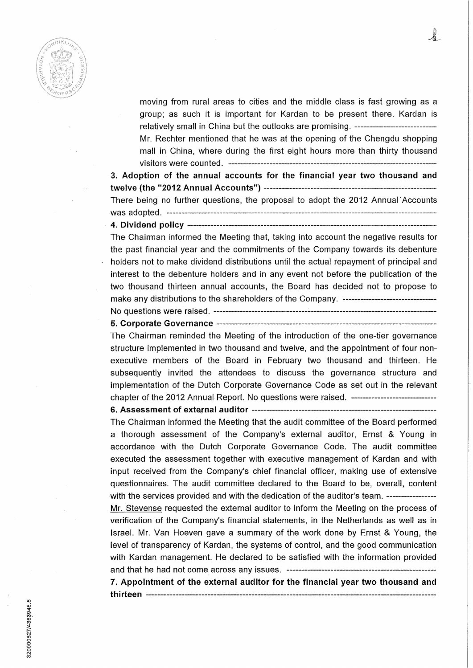

moving from rural areas to cities and the middle class is fast growing as a group; as such it is important for Kardan to be present there. Kardan is relatively small in China but the outlooks are promising. Mr. Rechter mentioned that he was at the opening of the Chengdu shopping mail in China, where during the first eight hours more than thirty thousand visitors were counted.

 $\lambda$  .

**3. Adoption of tfie annual accounts for the financial year two thousand and twelve (the "2012 Annual Accounts")**  There being no further questions, the proposai to adopt the 2012 Annual Accounts was adopted. **4. Dividend poiicy -—** 

The Chairman informed the Meeting that, taking into account the negative results for the past financial year and the commitments of the Company towards its debenture holders not to make dividend distributions until the actual repayment of principal and interest to the debenture holders and in any event not before the publication of the two thousand thirteen annual accounts, the Board has decided not to propose to make any distributions to the shareholders of the Company.

No questions were raised. —

## **5. Corporate Governance**

The Chairman reminded the Meeting of the introduction of the one-tier governance structure implemented in two thousand and twelve, and the appointment of four nonexecutive members of the Board in February two thousand and thirteen. He subsequently invited the attendees to discuss the governance structure and implementation of the Dutch Corporate Governance Code as set out in the relevant chapter of the 2012 Annual Report. No questions were raised. ---------------------------------

## **6. Assessment of external auditor**

The Chairman informed the Meeting that the audit committee of the Board performed a thorough assessment of the Company's external auditor, Ernst & Young in accordance with the Dutch Corporate Governance Code. The audit committee executed the assessment together with executive management of Kardan and with input received from the Company's chief financial officer, making use of extensive questionnaires. The audit committee declared to the Board to be, overall, content with the services provided and with the dedication of the auditor's team. -----------------

Mr. Stevense requested the external auditor to inform the Meeting on the process of verification of the Company's financial statements, in the Netheriands as well as in Israel. Mr. Van Hoeven gave a summary of the work done by Ernst & Young, the level of transparency of Kardan, the systems of control, and the good communication with Kardan management. He declared to be satisfied with the information provided and that he had not come across any issues.

**7. Appointment of the external auditor for the financial year two thousand and thirteen**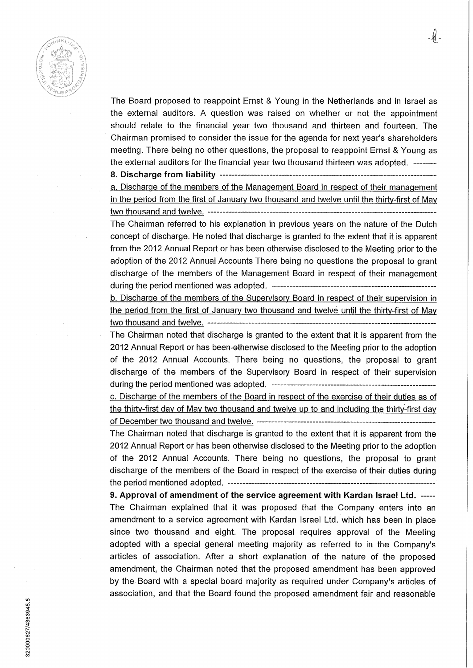

The Board proposed to reappoint Ernst & Young in the Netheriands and in Israel as the external auditors. A question was raised on whether or not the appointment should relate to the financial year two thousand and thirteen and fourteen. The Chairman promised to consider the issue for the agenda for next year's shareholders meeting. There being no other questions, the proposai to reappoint Ernst & Young as the external auditors for the financial year two thousand thirteen was adopted.

**8. Discharge from liability** 

a. Discharge of the members of the Management Board in respect of their management in the period from the first of January two thousand and twelve until the thirty-first of Mav two thousand and twelve.

The Chairman referred to his explanation in previous years on the nature of the Dutch concept of discharge. He noted that discharge is granted to the extent that it is apparent from the 2012 Annual Report or has been otherwise disclosed to the Meeting prior to the adoption of the 2012 Annual Accounts There being no questions the proposai to grant discharge of the members of the Management Board in respect of their management during the period mentioned was adopted. —

b. Discharge of the members of the Supervisory Board in respect of their supervision in the period from the first of January two thousand and twelve until the thirty-first of May two thousand and twelve.

The Chairman noted that discharge is granted to the extent that it is apparent from the 2012 Annual Report or has been othenwise disclosed to the Meeting prior to the adoption of the 2012 Annual Accounts. There being no questions, the proposai to grant discharge of the members of the Supervisory Board in respect of their supervision during the period mentioned was adopted.

c. Discharge of the members of the Board in respect of the exercise of their duties as of the thirty-first day of Mav two thousand and twelve up to and including the thirty-first day of December two thousand and twelve.

The Chairman noted that discharge is granted to the extent that it is apparent from the 2012 Annual Report or has been otherwise disclosed to the Meeting prior to the adoption of the 2012 Annual Accounts. There being no questions, the proposai to grant discharge of the members of the Board in respect of the exercise of their duties during the period mentioned adopted.

**9. Approval of amendment of the service agreement with Kardan Israel Ltd.**  The Chairman explained that it was proposed that the Company enters into an amendment to a service agreement with Kardan Israel Ltd. which has been in place since two thousand and eight. The proposai requires approval of the Meeting adopted with a special general meeting majority as referred to in the Company's articles of association. After a short explanation of the nature of the proposed amendment, the Chairman noted that the proposed amendment has been approved by the Board with a special board majority as required under Company's articles of association, and that the Board found the proposed amendment fair and reasonable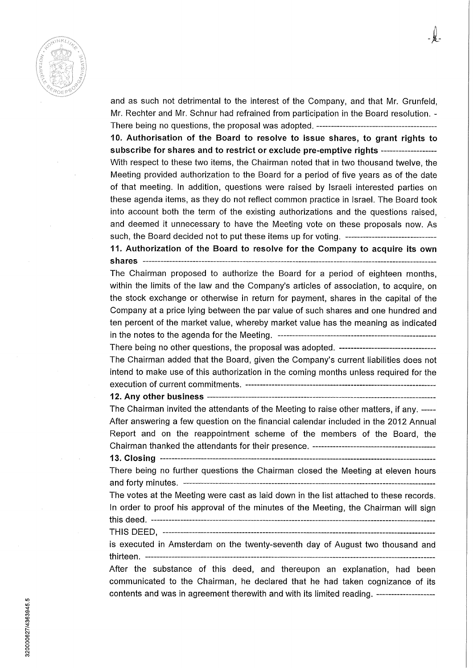

and as such not detrimental to the interest of the Company, and that Mr. Grunfeld, Mr. Rechter and Mr. Schnur had refrained from participation in the Board resolution. - There being no questions, the proposai was adopted.

**10. Authorisation of the Board to resolve to issue shares, to grant rights to subscribe for shares and to restrict or exclude pre-emptive rights**  With respect to these two items, the Chairman noted that in two thousand twelve, the Meeting provided authorization to the Board for a period of five years as of the date of that meeting. In addition, questions were raised by Israëli interested parties on these agenda items, as they do not reflect common practice in Israel. The Board took into account both the term of the existing authorizations and the questions raised, and deemed it unnecessary to have the Meeting vote on these proposals now. As such, the Board decided not to put these items up for voting.

**11. Authorization of the Board to resolve for the Company to acquire its own shares** 

The Chairman proposed to authorize the Board for a period of eighteen months, within the limits of the law and the Company's articles of association, to acquire, on the stock exchange or otherwise in return for payment, shares in the capital of the Company at a price lying between the par value of such shares and one hundred and ten percent of the market vaiue, whereby market value has the meaning as indicated in the notes to the agenda for the Meeting.

There being no other questions, the proposai was adopted. The Chairman added that the Board, given the Company's current liabilities does not intend to make use of this authorization in the coming months uniess required for the execution of current commitments.

**12. Any other business** 

The Chairman invited the attendants of the Meeting to raise other matters, if any. After answering a few question on the financial calendar included in the 2012 Annual Report and on the reappointment scheme of the members of the Board, the Chairman thanked the attendants for their presence.

**13. Closing** 

There being no further questions the Chairman closed the Meeting at eleven hours and forty minutes.

The votes at the Meeting were cast as laid down in the list attached to these records. In order to proof his approval of the minutes of the Meeting, the Chairman will sign this deed.

THIS DEED,

is executed in Amsterdam on the twenty-seventh day of August two thousand and thirteen.

After the substance of this deed, and thereupon an explanation, had been communicated to the Chairman, he declared that he had taken cognizance of its contents and was in agreement therewith and with its limited reading.